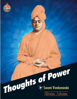

# Thoughts of Power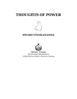# **THOUGHTS OF POWER**



## **SWAMI VIVEKANANDA**



Advaita Ashrama (PUBLICATION DEPARTMENT) 5 DEHI ENTALLY ROAD • KOLKATA 700014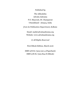### *Published by*

The Adhyaksha Advaita Ashrama P.O. Mayavati, Dt. Champawat Uttarakhand - 262524, India

*from its Publication Department, Kolkata*

Email: mail@advaitaashrama.org Website: www.advaitaashrama.org

*© All Rights Reserved*

First EBook Edition, March 2016

ISBN 978-81-7505-020-4 (Paperback) ISBN 978-81-7505-824-8 (EBook)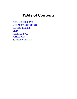# **Table of Contents**

FAITH AND [STRENGTH](#page-4-0) LOVE AND [UNSELFISHNESS](#page-8-0) GOD AND [RELIGION](#page-12-0) [INDIA](#page-16-0) **[MISCELLANEOUS](#page-21-0) [REFERENCES](#page-24-0)** [SUGGESTED](#page-26-0) READING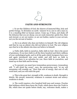

### **FAITH AND STRENGTH**

<span id="page-4-0"></span>1. Ye are the Children of God, the sharers of immortal bliss, holy and perfect beings. Ye divinities on earth—sinners! It is a sin to call a man so; it is a standing libel on human nature. Come up, O lions, and shake off the delusion that you are sheep; you are souls immortal, spirits free, blest and eternal; ye are not matter, ye are not bodies; matter is your servant, not you the servant of matter.

2. He is an atheist who does not believe in himself. The old religions said that he was an atheist who did not believe in God. The new religion says that he is the atheist who does not believe in himself.

3. Faith, faith, faith in ourselves, faith, faith in God—this is the secret of greatness. If you have faith in all the three hundred and thirty millions of your mythological gods, and in all the gods which foreigners have now and again introduced into your midst, and still have no faith in yourselves, there is no salvation for you. Have faith in yourselves, and stand up on that faith and be strong.

4. To succeed, you must have tremendous perseverance, tremendous will. "I will drink the ocean", says, the persevering soul; "at my will mountains will crumble up." Have that sort of energy, that sort of will, work hard, and you will reach the goal.

5. This is the great fact: strength is life, weakness is death. Strength is felicity, life eternal, immortal; weakness is constant strain and misery: weakness is death.

6. The world requires a few hundred bold men and women. Practise that boldness which dares know the Truth, which dares show the Truth in life, which does not quake before death, nay, welcomes death, makes a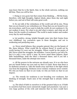man know that he is the Spirit, that, in the whole universe, nothing can kill him. Then you will be free.

7. Doing is very good, but that comes from thinking. … Fill the brain, therefore, with high thoughts, highest ideals, place them day and night before you, and out of that will come great work.

8. Do not talk of the wickedness of the world and all its sins. Weep that you are bound to see wickedness yet. Weep that you are bound to see sin everywhere, and if you want to help the world, do not condemn it. Do not weaken it more. For what is sin and what is misery, and what are all these, but the results of weakness? The world is made weaker and weaker every day by such teachings.

9. Let positive, strong, helpful thought enter into their brains from very childhood. Lay yourselves open to these thoughts, and not to weakening and paralysing ones.

10. Never mind failures; they arequite natural, they are the beauty of life, these failures. What would life be without them? It would not be worth having if it were not for struggles. Where would be the poetry of life? Never mind the struggles, the mistakes. I never heard a cow tell a lie, but it is only a cow—never a man. So never mind these failures, these little backslidings; hold the ideal a thousand times; and if you fail a thousand times, make the attempt once more.

11. All the powers in the universe are already ours. It is we who have put our hands before our eyes and cry that it is dark. Know that there is no darkness around us. Take the hands away and there is the light which was from the beginning. Darkness never existed, weakness never existed. We who are fools cry that we are weak; we who are fools cry that we are impure.

12. The remedy for weakness is not brooding over weakness, but thinking of strength. Teach men of the strength that is already within them.

13. The ideal of faith in ourselves is of the greatest help to us. If faith in ourselves had been more extensively taught and practised, I am sure a very large portion of the evils and miseries that we have would have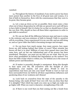vanished.

14. Throughout the history of mankind, if any motive power has been more potent than another in the lives of all great men and women, it is that of faith in themselves. Born with the consciousness that they were to be great, they became great.

15. Let a man go down as low as possible; there must come a time when out of sheer desperation he will take an upward curve and will learn to have faith in himself. But it is better for us that we should know it from the very first. Why should we have all these bitter experiences in order to gain faith in ourselves?

16. We can see that all the difference between man and man is owing to the existence and non-existence of faith in himself. Faith in ourselves will do everything. I have experienced it in my own life, and am still doing so; and as I grow older that faith is becoming stronger and stronger,

17. Do you know how much energy, how many powers, how many forces are still lurking behind that frame of yours? What scientist has known all that is in man? Millions of years have passed since man first came here, and yet but one infinitesimal part of his powers has been manifested. Therefore, you must not say that you are weak. How do you know what possibilities lie behind that degradation on the surface? You know but little of that which is within you. For behind you is the ocean of infinite power and blessedness.

18. If matter is powerful, thought is omnipotent. Bring this thought to bear upon your life, fill yourselves with the thought of your almightiness, your majesty, and your glory. Would to God no superstitions had been put into your head! Would to God we had not been surrounded from our birth by all these superstitious influences and paralysing ideas of our weakness and vileness!

19. Look back on yourselves from the state of the amoeba to the human being; who made all that? Your own will. Can you deny then that it is almighty? That which has made you come up so high can make you go higher still. What you want is character, strengthening of the will.

20. If there is one word that you find coming out like a bomb from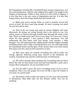the Upanishads, bursting like a bombshell upon masses of ignorance, it is the word fearlessness. And the only religion that ought to be taught is the religion of fearlessness. Either in this world or in the world of religion, it is true that fear is the sure cause of degradation and sin. It is fear that brings misery, fear that brings death, fear that breeds evil.

21. Make your nerves strong. What we want is muscles of iron and nerves of steel. We have wept long enough. No more weeping, but stand on your feet and be men.

22. First of all, our young men must be strong. Religion will come afterwards. Be strong, my young friends; that is my advice to you. You will be nearer to Heaven through football than through the study of the Gita. These are bold words; but I have to say them, for I love you. I know where the shoe pinches. I have gained a little experience. You will understand the Gita better with your biceps, your muscles, a little stronger. You will understand the mighty genius and the mighty strength of Krishna better with a little of strong blood in you. You will understand the Upanishads better and the glory of the Atman when your body stands firm upon your feet, and you feel yourselves as men.

23. Men, men, these are wanted: everything else will be ready, but strong, vigorous, believing young men, sincere to the backbone, are wanted. A hundred such and the world becomes revolutionised.

24. The will is stronger than anything else. Everything must go down before the will, for that comes from God and God Himself; a pure and a strong will is omnipotent. Do you not believe in it?

25. Yes, the older I grow, the more everything seems to me to lie in manliness. This is my new gospel. Do even evil like a man! Be wicked, if you must, on a great scale!

26. The history of the world is the history of a few men who had faith in themselves. That faith calls out the divinity within. You can do anything.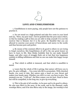

### **LOVE AND UNSELFISHNESS**

<span id="page-8-0"></span>1. Unselfishness is more paying, only people have not the patience to practise it.

2. Do not stand on a high pedestal and take five cents in your hand and say, "Here, my poor man"; but be grateful that the poor man is there, so that by making a gift to him you are able to help yourself. It is not the receiver that is blessed, but it is the giver. Be thankful that you are allowed to exercise your power of benevolence and mercy in the world, and thus become pure and perfect.

3. By means of the constant effort to do good to others we are trying to forget ourselves; this forgetfulness of self is the one great lesson we have to learn in life. Man thinks foolishly that he can make himself happy, and after years of struggle finds out at last that true happiness consists in killing selfishness and that no one can make him happy except himself.

4. That which is selfish is immoral, and that which is unselfish is moral.

5. Learn that the whole of life is giving; that nature will force you to give. So, give willingly. … You come into life to accumulate. With clenched hands, you want to take. But nature puts a hand on your throat and makes your hands open. Whether you will it or not, you have to give. The moment you say, "I will not", the blow comes; you are hurt. None is there but will be compelled, in the long run, to give up everything.

6. This is the gist of all worship—to be pure and to do good to others. He who sees Shiva in the poor, in the weak, and in the diseased, really worships Shiva; and if he sees Shiva only in the image, his worship is but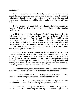preliminary.

7. This unselfishness is the test of religion. He who has more of this unselfishness is more spiritual and nearer to Shiva. … And if a man is selfish, even though he has visited all the temples, seen all the places of pilgrimage, and painted himself like a leopard, he is still further off from Shiva.

8. It is love and love alone that I preach, and I base my teaching on the great Vedantic truth of the sameness and omnipresence of the Soul of the Universe.

9. First bread and then religion. We stuff them too much with religion, when the poor fellows have been starving. No dogmas will satisfy the cravings of hunger. … You may talk doctrines by the millions, you may have sects by the hundreds of millions; ay, but it is nothing until you have the heart to feel. Feel for them as your Veda teaches you, till you find they are parts of your own bodies, till you realize that you and they, the poor and the rich, the saint and the sinner, are all parts of One Infinite Whole, which you call Brahman.

10. Feel for the miserable and look up for help—it shall come. I have travelled twelve years with this load in my heart and this idea in my head. I have gone from door to door of the so-called rich and great. With a bleeding heart I have crossed half the world to this strange land, seeking for help. The Lord is great. I know He will help me. I may perish of cold or hunger in this land, but I bequeath to you, young men, this sympathy, this struggle for the poor, the ignorant, the oppressed.

11. This life is short, the vanities of the world are transient, but they alone live who live for others, the rest are more dead than alive.

12. I do not believe in a God or religion which cannot wipe the widow's tears or bring a piece of bread to the orphan's mouth.

13. Love never fails, my son; today or tomorrow or ages after, truth will conquer! Love shall win the victory. Do you love your fellowmen?

14. Where should you go to seek for God—are not all the poor, the miserable, the weak, Gods? Why not worship them first? Why go to dig a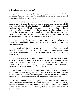well on the shores of the *Ganga*?

15. Believe in the omnipotent power of love. … Have you love?—You are omnipotent. Are you perfectly unselfish? If so, you are irresistible. It is character that pays everywhere.

16. My heart is too full to express my feeling; you know it, you can imagine it. So long as the millions live in hunger and ignorance, I hold every man a traitor who, having been educated at their expense, pays not the least heed to them! I call those men—who strut about in their finery, having got all their money by grinding the poor, wretches, so long as they do not do anything for those two hundred millions who are now no better than hungry savages! We are poor, my brothers, we are nobodies; but such have been always the instruments of the Most High.

17. I do not care for liberation, or for devotion, I would rather go to a hundred thousand hells, "doing good to others (silently) like the spring" this is my religion.

18. I shall work incessantly until I die, and even after death I shall work for the good of the world. Truth is infinitely more weighty than untruth; so is goodness. If you possess these, they will make their way by sheer gravity.

19. All expansion is life, all contraction is death. All love is expansion, all selfishness is contraction. Love is therefore the only law of life. He who loves lives, he who is selfish is dying. Therefore love for love's sake, because it is the only law of life, just as you breathe to live. This is the secret of selfless love, selfless action and the rest.

20. Who will give the world light? Sacrifice in the past has been the Law, it will be, alas, for ages to come. The earth's bravest and best will have to sacrifice themselves for the good of many, for the welfare of all. Buddhas by the hundred are necessary with eternal love and pity.

21. May I be born again and again, and suffer thousands of miseries so that I may worship the only God that exists, the only God I believe in, the sum total of all souls—and above all, my God the wicked, my God the miserable, my God the poor of all races, of all species, is the special object of my worship.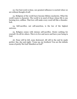22. Our best work is done, our greatest influence is exerted when we are without thought of self.

23. Religions of the world have become lifeless mockeries. What the world wants is character. The world is in need of those whose life is one burning love, selfless. That love will make every word tell like a thunderbolt.

24. Self-sacrifice, not self-assertion, is the law of the highest universe.

25. Religion comes with intense self-sacrifice. Desire nothing for yourself. Do all for others. This is to live and move and have your being in God.

26. None will be left, none destroyed. All will in the end be made perfect. Say, day and night, "Come up, my brothers! You are the infinite ocean of purity! Be God! Manifest as God!"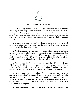

### **GOD AND RELIGION**

<span id="page-12-0"></span>1. Each soul is potentially divine. The goal is to manifest this Divinity within by controlling nature, external and internal. Do this either by work, or worship, or psychic control, or philosophy—by one, or more, or all of these—and be free. This is the whole of religion. Doctrines, or dogmas, or rituals, or books, or temples, or forms, are but secondary details.

2. If there is a God we must see Him, if there is a soul we must perceive it; otherwise it is better not to believe. It is better to be an outspoken atheist than a hypocrite.

3. Practice is absolutely necessary. You may sit down and listen to me by the hour every day, but if you do not practise, you will not get one step further. It all depends on practice. We never understand these things until we experience them. We will have to see and feel them for ourselves. Simply listening to explanations and theories will not do.

4. Take up one idea. Make that one idea your life—think of it, dream of it, live on that idea. Let the brain, muscles, nerves, every part of your body, be full of that idea, and just leave every other idea alone. This is the way to success, and this is the way great spiritual giants are produced.

5. These prophets were not unique; they were men as you or I. They were great Yogis. They had gained this superconsciousness, and you and I can get the same. They were not peculiar people. The very fact that one man ever reached that state, proves that it is possible for every man to do so. Not only is it possible, but every man must, eventually, get to that state, and that is religion.

6. The embodiment of freedom, the master of nature, is what we call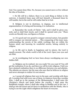God. You cannot deny Him. No, because you cannot move or live without the idea of freedom.

7. No life will be a failure; there is no such thing as failure in the universe. A hundred times man will hurt himself, a thousand times he will tumble, but in the end he will realise that he is God.

8. Religion is not in doctrines, in dogmas, nor in intellectual argumentation; it is being and becoming, it is realization.

9. Remember the words of Christ: "Ask, and it shall be given you; seek, and ye shall find; knock, and it shall be opened unto you." These words are literally true, not figures or fiction.

10. It is good and very grand to conquer external nature, but grander still to conquer our internal nature. … This conquering of the inner man, understanding the secrets of the subtle workings that are within the human mind, and knowing its wonderful secrets, belong entirely to religion.

11. In life and in death, in happiness and in misery, the Lord is equally present. The whole world is full of the Lord. Open your eyes and see Him.

12. In worshipping God we have been always worshipping our own hidden Self.

13. Religion can be realized. Are you ready? Do you want it? You will get the realization if you do, and then you will be truly religious. Until you have attained realization there is no difference between you and atheists. The atheists are sincere, but the man who says that he believes in religion and never attempts to realize it is not sincere.

14. I accept all religions that were in the past, and worship with them all; I worship God with every one of them, in whatever form they worship Him. I shall go to the mosque of the Mohammedan; I shall enter the Christian's church and kneel before the crucifix; I shall enter the Buddhistic temple, where I shall take refuge in Buddha and in his Law. I shall go into the forest and sit down in meditation with the Hindu, who is trying to see the Light which enlightens the heart of everyone.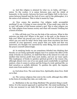15. And this religion is attained by what we, in India, call Yoga union. To the worker, it is union between men and the whole of humanity; to the mystic, between his lower and Higher Self; to the lover, union between himself and the God of Love; and to the philosopher, it is the union of all existence. This is what is meant by Yoga.

16. Now comes the question: Can religion really accomplish anything? It can. It brings to man eternal life. It has made man what he is, and, will make of this human animal a god. This is what religion can do. Take religion from human society and what will remain? Nothing but a forest of brutes.

17. Who will help you? You are the help of the universe. What in this universe can help you? Where is the man, or the god, or the demon to help you? What can prevail over you? You are the God of the universe; where can you seek for help? Never help came from anywhere but from yourself. In your ignorance, every prayer that you made and that was answered, you thought was answered by some Being, but you answered the prayer yourself unknowingly.

18. In studying books we are sometimes deluded into thinking that thereby we are being spiritually helped; but if we analyse the effect of the study of books on ourselves, we shall find that at the utmost it is only our intellect that derives profit from such studies, and not our inner spirit. This inadequacy of books to quicken spiritual growth is the reason why, although almost every one of us can speak most wonderfully on spiritual matters, when it comes to action and the living of a truly spiritual life, we find ourselves so awfully deficient. To quicken the spirit, the impulse must come from another soul.

19. God alone lives. The soul alone lives. Spirituality alone lives. Hold on to that.

20. The various religions that exist in the world, although they differ in the form of worship they take, are really one.

21. Meditation is the one thing Meditate! The greatest thing is meditation. It is the nearest approach to spiritual life—the mind meditating. It is the one moment in our daily life that we are not at all material—the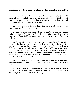Soul thinking of Itself, free from all matter—this marvellous touch of the Soul!

22. Those who give themselves up to the Lord do more for the world than all the so-called workers. One man who has purified himself thoroughly accomplishes more than a regiment of preachers. Out of purity and silence comes the word of power.

23. What we need today is to know that there is a God and that we can see and feel Him here and now.

24. There is a vast difference between saying "food, food" and eating it, between saying "water, water" and drinking it. So by merely repeating the words "God, God" we cannot hope to attain realization. We must strive and practise.

25. Through the terrors of evil, say—my God, my love! Through the pangs of death, say—my God, my love! Through all the evils under the sun, say—my God, my love! Thou art here, I see Thee. Thou art with me, I feel Thee, I am Thine, take me. I am not of the world's but Thine, leave not then me, Do not go for glass beads leaving the mine of diamonds! This life is a great chance. What, seekest thou the pleasures of the world? —He is the fountain of all bliss. Seek for the highest, aim at that highest, and you shall reach the highest.

26. We must be bright and cheerful, long faces do not make religion. Religion should be the most joyful thing in the world, because it is the best.

27. Worship everything as God—every form is His temple. All else is delusion. Always look within, never without. Such is the God that Vedanta preaches, and such is His worship.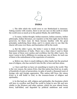

### **INDIA**

<span id="page-16-0"></span>1. The debt which the world owes to our Motherland is immense. Taking country with country, there is not one race on this earth to which the world owes so much as to the patient Hindu, the mild Hindu.

2. To many, Indian thought, Indian manners, Indian customs, Indian philosophy, Indian literature, are repulsive at the first sight; but let them persevere, let them read, let them become familiar with the great principles underlying these ideas, and it is ninety-nine to one that the charm will come over them, and fascination will be the result.

3. But the older I grow, the better I seem to think of these timehonoured institutions of India. There was a time when I used to think that many of them were useless and worthless; but the older I grew, the more I seem to feel a diffidence in cursing any one of them, for each one of them is the embodiment of the experience of centuries.

4. Believe me, there is much talking in other lands; but the practical man of religion, who has carried it into his life, is here and here alone.

5. I have said that we have yet something to teach to the world. This is the very reason, the raison d'etre, that this nation has lived on, in spite of hundreds of years of persecution, in spite of nearly a thousand years of foreign rule and foreign oppression. This nation still lives; the raison d'etre is it still holds to God, to the treasure-house of religion and spirituality.

6. In this land are, still, religion and spirituality, the fountains which will have to overflow and flood the world to bring in new life and new vitality to the Western and other nations, which are now almost borne down, half-killed, and degraded by political ambitions and social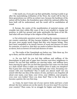scheming.

7. But mark you, if you give up that spirituality, leaving it aside to go after the materializing civilization of the West, the result will be that in three generations you will be an extinct race; because the backbone of the nation will be broken, the foundation upon which the national edifice has been built will be undermined, and the result will be annihilation all round.

8. Europe, the centre of the manifestation of material energy, will crumble into dust within fifty years if she is not mindful to change her position, to shift her ground and make spirituality the basis of her life. And what will save Europe is the religion of the Upanishads.

9. Our aristocratic ancestors went on treading the common masses of our country underfoot, till they became helpless, till under this torment the poor, poor people nearly forgot that they were human beings. They have been compelled to be merely hewers of wood and drawers of water for centuries, so much so, that they are made to believe that they are born as slaves, born as hewers of wood and drawers of water.

10. The truths of the Upanishads are before you. Take them up, live up to them, and the salvation of India will be at hand.

11. Do you feel? Do you feel that millions and millions of the descendants of gods and of sages have become next-door neighbours to brutes? Do you feel that millions are starving today, and millions have been starving for ages? Do you feel that ignorance has come over the land as a dark cloud? Does it make you restless? Does it make you sleepless? Has it gone into your blood, coursing through your veins, becoming consonant with your heartbeats? Has it made you almost mad? Are you seized with that one idea of the misery of ruin, and have you forgotten all about your name, your fame, your wives, your children, your property, even your own bodies? Have you done that? That is the first step to become a patriot, the very first step.

12. Come, be men! Come out of your narrow holes and have a look abroad. See how nations are on the march. Do you love man? Do you love your country? Then come, let us struggle for higher and better things;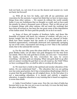look not back, no, not even if you see the dearest and nearest cry. Look not back, but forward!

13. With all my love for India, and with all my patriotism and veneration for the ancients, I cannot but think that we have to learn many things from other nations. … We cannot do without the world outside India; it was our foolishness that we thought we could, and we have paid the penalty by about a thousand years of slavery. That we did not go out to compare things with other nations, did not mark the workings that have been all around us, has been the one great cause of this degradation of the Indian mind. We have paid the penalty; let us do it no more.

14. Some of these old temples of Southern India, and those like Somnāth of Gujarat will teach you volumes of wisdom, will give you a keener insight into the history of the race than any amount of books. Mark how these temples bear the marks of a hundred attacks and a hundred regenerations, continually destroyed and continually springing up out of the ruins, rejuvenated and strong as ever! That is the national mind, that is the national life-current.

15. For the next fifty years this alone shall be our keynote—this, our great Mother India. Let all other vain gods disappear for the time from our minds. This is the only god that is awake, our own race—"everywhere his hands, everywhere his feet, everywhere his ears; he covers everything." All other gods are sleeping. What vain gods shall we go after and yet cannot worship the god that we see all round us, the Virāt? When we have worshipped this, we shall be able to worship all other gods.

16. We must have a hold on the spiritual and secular education of the nation. Do you understand that? … The education that you are getting now has some good points, but it has a tremendous disadvantage which is so great that the good things are all weighed down. In the first place it is not a man-making education, it is merely and entirely a negative education. A negative education or any training that is based on negation, is worse than death.

17. India I loved before I came away. Now the very dust of India has become holy to me, the very air is now to me holy; it is now the holy land, the place of pilgrimage, the Tirtha.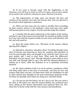18. If you want to become equal with the Englishman or the American, you will have to teach as well as to learn, and you have plenty yet to teach to the world for centuries to come. This has to be done.

19. The degeneration of India came not because the laws and customs of the ancients were bad, but because they were not allowed to be carried to their legitimate conclusions.

20. When you have men who are ready to sacrifice their everything for their country, sincere to the backbone—when such men arise, India will become great in every respect. It is the men that make the country!

21. I consider that the great national sin is the neglect of the masses, and that is one of the causes of our downfall. No amount of politics would be of any avail until the masses in India are once more well educated, well fed, and well cared for.

22. Keep the motto before you—"Elevation of the masses without injuring their religion."

23. Education, education, education alone! Travelling through many cities of Europe and observing in them the comforts and education of even the poor people, there was brought to my mind the state of our own poor people, and I used to shed tears. What made the difference? Education was the answer I got. Through education comes faith in one's own Self, and through faith in one's own Self the inherent Brahman is waking up in them, while the Brahman in us is gradually becoming dormant.

24. My whole ambition in life is to set in motion a machinery which will bring noble ideas to the door of everybody, and then let men and women settle their own fate. Let them know what our forefathers as well as other nations have thought on the most momentous questions of life. Let them see specially what others are doing now, and then decide.

25. I do not see into the future; nor do I care to see. But one vision I see clear as life before me: that the ancient Mother has awakened once more, sitting on Her throne rejuvenated, more glorious than ever. Proclaim Her to all the world with the voice of peace and benediction.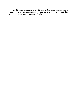26. My life's allegiance is to this my motherland; and if I had a thousand lives, every moment of the whole series would be consecrated to your service, my countrymen, my friends.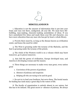

### **MISCELLANEOUS**

<span id="page-21-0"></span>1. Education is not the amount of information that is put into your brain and runs riot there, undigested, all your life. We must have lifebuilding, man-making, character-making assimilation of ideas. If you have assimilated five ideas and made them your life and character, you have more education than any man who has got by heart a whole library.

2. Poverty there must be, so long as the disease known as civilization exists: and hence the need for relief.

3. The West is groaning under the tyranny of the Shylocks, and the East is groaning under the tyranny of the priests.

4. The whole of the Western world is on a volcano which may burst tomorrow, go to pieces tomorrow.

5. Asia laid the germs of civilization, Europe developed man, and America is developing woman and the masses.

6. Three things are necessary to make every man great, every nation great

- 1. Conviction of the powers of goodness
- 2. Absence of jealousy and suspicion
- 3. Helping all who are trying to be and do good.

7. Do not try to lead your brethren, but serve them. The brutal mania for leading has sunk many a great ship in the waters of life.

8. The faculty of organization is entirely absent in our nature, but this has to be infused. The great secret is—absence of jealousy. Be always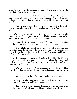ready to concede to the opinions of your brethren, and try always to conciliate. That is the whole secret.

9. From all of you I want this that you must discard for ever selfaggrandizement, faction-mongering, and jealousy. You must be allforbearing like, Mother Earth. If you can achieve this, the world will be at your feet.

10. There is no chance for the welfare of the world unless the condition of women is improved. It is not possible for a bird to fly on only one wing.

11. Women must be put in a position to solve their own problems in their own way. No one can or ought to do this for them. And our Indian women are as capable of doing it as any in the world.

12. I know that the race that produced Sitā—even if it only dreamt of her—has a reverence for woman that is unmatched on the earth.

13. Even idiots may stand up to hear themselves praised, and cowards assume the attitude of the brave when everything is sure to turn out well, but the true hero works in silence. How many Buddhas die before one finds expression!

14. The wonderful structures of national life which the Western nations have raised, are supported by the strong pillars of character, and until we can produce numbers of such, it is useless to fret and fume against this or that power.

15. Work as if on each of you depended the whole work. Fifty centuries are looking on you, the future of India depends on you. Work on.

16. One cannot serve the God of Truth who leans upon somebody.

17. I am to create a new order of humanity here who are sincere believers in God and care nothing for the world.

18. Each work has to pass through these stages—ridicule, opposition, and then acceptance. Each man who thinks ahead of his time is sure to be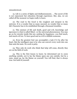misunderstood.

19. Life is a series of fights and disillusionments. … The secret of life is not enjoyment but education through experience. But, alas, we are called off the moment we begin really to learn.

20. The road to the Good is the roughest and steepest in the universe. It is a wonder that so many succeed, no wonder that so many fall. Character has to be established through a thousand stumbles.

21. This mixture of life and death, good and evil, knowledge and ignorance is what is called Māyā—or the universal phenomenon. You may go on for eternity inside this net, seeking for happiness—you find much, and much evil too. To have good and no evil is childish nonsense.

22. Even the greatest fool can accomplish a task if it be after his heart. But the intelligent man is he who can convert every work into one that suits his taste. No work is petty.

23. They only do work who think that help will come, directly they are on the field of work.

24. This is the first lesson to learn: be determined not to curse anything outside, not to lay the blame upon any one outside, but be a man, stand up, lay the blame on yourself. You will find, that is always true. Get hold of yourself.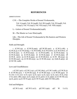### **REFERENCES**

<span id="page-24-0"></span>ABBREVIATIONS:

C.W.:—The Complete Works of Swami Vivekananda,

Vol. I.(1946), Vol. II.(1948), Vol. III.(1948), Vol. IV(1948), Vol. V(1947), Vol. VI.(1947), Vol. VII.(1947), Vol. VIII.(1959);

L.—Letters of Swami Vivekananda(1948);

M.—The Master as I saw Him(1948);

Life.—The Life of Swami Vivekananda by His Eastern and Western Disciples.

Faith and Strength:

1 (C.W.I.9); 2 (C.W.II.299); 3(C.W.III.190); 4 (C.W.I.178); 5 (C.W.II.3); 6 (C.W.II.85); 7 (C.W.II.86); 8 (C.W.II.87); 9 (C.W.II.87); 10 (C.W.II.152); 11 (C.W.II.293); 12 (C.W.II.298); 13 (C.W.II.299); 14 (C.W.II.299); 15 (C.W.II.299); 16 (C.W.II.299); 17 (C.W.II.299); 18 (C.W.II. 300); 19 (C.W.II.355); 20 (C.W.III.60); 21 (C.W. III.224); 22 (C.W.III.242); 23 (C.W.III.223); 24 (C.W.III.224); 25 (Life.II.465); 26 (C.W.VII. 228).

Love and Unselfishness:

 (C.W.I.30); 2 (C.W.I.74); 3 (C.W.I.82); 4 (C.W.I.108); 5 (C.W.II.5); (C.W.III.141); 7 (C.W.III.143); 8 (C.W.III.194); 9 (C.W.III.432); 10 (L.70); 11 (L.111); 12 (L.141); 13 (L.141); 14 (L.141); 15 (L.141); 16 (L.175); (L.190); 18(L.194); 19 (L.253); 20 (L.320); 21 (L.399); 22 (C.W.VII.12); (L.320); 24 (C.W.VI.49); 25 (C.W.VI.49); 26(C.W.VIII.228).

God and Religion:

1(C.W.I.119); 2(C.W.I.127); 3(C.W.I.139); 4(C W. I.177);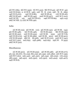5(C.W.I.185), 6(C.W.I.335); 7(C.W.I.415); 8(C.W.II.43); 9(C.W.II 44); 10(C.W.II.65); 11 (C.W.II. 146); 12(C W. II. 279); 13(C. W. II. 285); 14(C.W.II.372); 15(C.W.II.86); 16(C.W.III.4); 17(C.W.III.26); 18(C.W.III.45); 19(C.W.III.149); 20(C.W.III.357); 21(C.W.V.210); 22(C.W.VII. 14); 23(C.W.VII.67); 24(C.W.VII.89); 25(L.115); 26(C.W.VIII. 7); 27(C.W.VIII.136).

India:

1(C.W.III.105); 2(C.W.III. 110); 3(C.W.III.132); 4(C.W.III. 134);  $5(C.W.III.148);$  6(C.W.III.148);  $7(C.W.III.153);$  8(C.W.III.159); 9(C.W.III.192); 10(C.W.III.225); 11(C.W.III. 225); 12(C.W.V.8); 13(C.W.III.272); 14(C.W.III.289); 15(C.W.III. 300); 16(C.W.III.301); 17(C.W.III.309); 18(C.W. III.318); 19(C.W.IV.270); 20(C.W.V.140); 21(C.W.V.152); 22(L.83); 23(L.368); 24(L.83); 25(C.W. IV.353); 26(C.W.IV.312).

Miscellaneous:

1(C.W.III.302); 2(C.W.III.305); 3(C.W.III.158); 4(C.W.III.277); 5(L.75); 6(L.87); 7(L.103); 8(L.119); 9(L.139); 10(L.282); 11(C.W.V.159); 12(C.W.V.160); 13(L.142); 14(L.150); 15(L.154); 16(L.205); 17(L.223); 18(L.233); 19(L.431); 20(L.330); 21(L.350); 22(L.404); 23(L.407); 24(C.W.II.8).